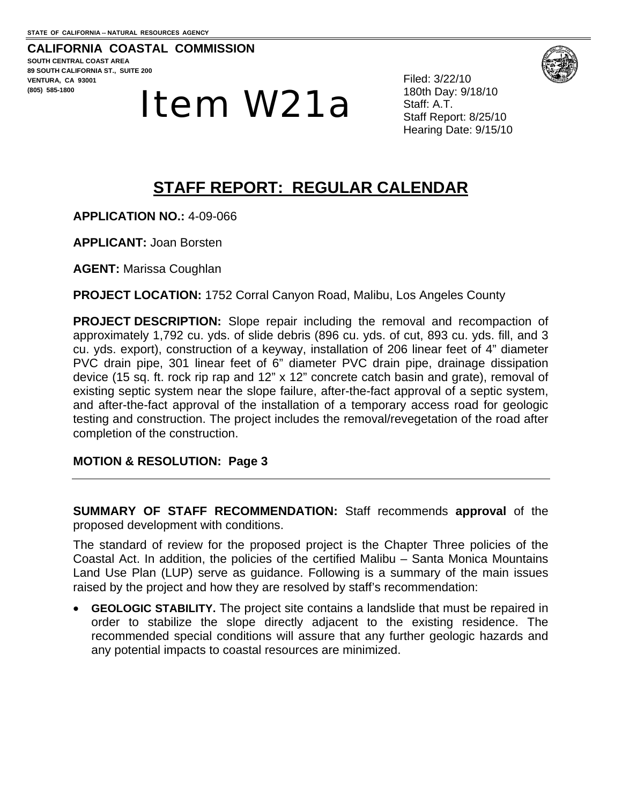**CALIFORNIA COASTAL COMMISSION SOUTH CENTRAL COAST AREA 89 SOUTH CALIFORNIA ST., SUITE 200 VENTURA, CA 93001 (805) 585-1800** 



Filed: 3/22/10 180th Day: 9/18/10 Staff: A.T. Staff Report: 8/25/10 Hearing Date: 9/15/10

# **STAFF REPORT: REGULAR CALENDAR**

**APPLICATION NO.:** 4-09-066

**APPLICANT:** Joan Borsten

**AGENT:** Marissa Coughlan

**PROJECT LOCATION:** 1752 Corral Canyon Road, Malibu, Los Angeles County

**PROJECT DESCRIPTION:** Slope repair including the removal and recompaction of approximately 1,792 cu. yds. of slide debris (896 cu. yds. of cut, 893 cu. yds. fill, and 3 cu. yds. export), construction of a keyway, installation of 206 linear feet of 4" diameter PVC drain pipe, 301 linear feet of 6" diameter PVC drain pipe, drainage dissipation device (15 sq. ft. rock rip rap and 12" x 12" concrete catch basin and grate), removal of existing septic system near the slope failure, after-the-fact approval of a septic system, and after-the-fact approval of the installation of a temporary access road for geologic testing and construction. The project includes the removal/revegetation of the road after completion of the construction.

**MOTION & RESOLUTION: Page 3** 

**SUMMARY OF STAFF RECOMMENDATION:** Staff recommends **approval** of the proposed development with conditions.

The standard of review for the proposed project is the Chapter Three policies of the Coastal Act. In addition, the policies of the certified Malibu – Santa Monica Mountains Land Use Plan (LUP) serve as guidance. Following is a summary of the main issues raised by the project and how they are resolved by staff's recommendation:

**GEOLOGIC STABILITY.** The project site contains a landslide that must be repaired in order to stabilize the slope directly adjacent to the existing residence. The recommended special conditions will assure that any further geologic hazards and any potential impacts to coastal resources are minimized.

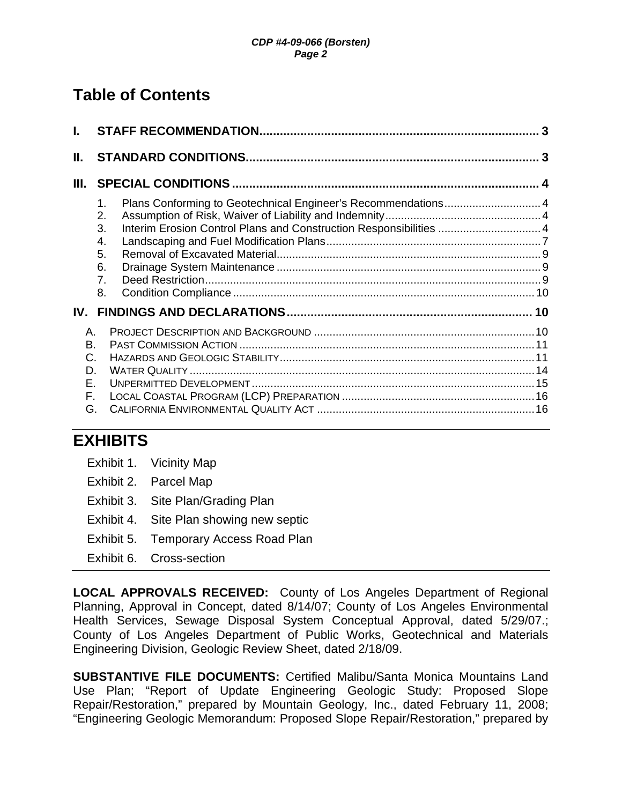# **Table of Contents**

| I.                                     |                                                                                                                                                                                                 |  |
|----------------------------------------|-------------------------------------------------------------------------------------------------------------------------------------------------------------------------------------------------|--|
| Ш.                                     |                                                                                                                                                                                                 |  |
| Ш.                                     |                                                                                                                                                                                                 |  |
|                                        | Plans Conforming to Geotechnical Engineer's Recommendations 4<br>1.<br>2.<br>Interim Erosion Control Plans and Construction Responsibilities  4<br>3.<br>4.<br>5.<br>6.<br>7 <sub>1</sub><br>8. |  |
| IV.                                    |                                                                                                                                                                                                 |  |
| Α.<br>B.<br>C.<br>D.<br>Е.<br>F.<br>G. |                                                                                                                                                                                                 |  |

# **EXHIBITS**

- Exhibit 1. Vicinity Map
- Exhibit 2. Parcel Map
- Exhibit 3. Site Plan/Grading Plan
- Exhibit 4. Site Plan showing new septic
- Exhibit 5. Temporary Access Road Plan
- Exhibit 6. Cross-section

**LOCAL APPROVALS RECEIVED:** County of Los Angeles Department of Regional Planning, Approval in Concept, dated 8/14/07; County of Los Angeles Environmental Health Services, Sewage Disposal System Conceptual Approval, dated 5/29/07.; County of Los Angeles Department of Public Works, Geotechnical and Materials Engineering Division, Geologic Review Sheet, dated 2/18/09.

**SUBSTANTIVE FILE DOCUMENTS:** Certified Malibu/Santa Monica Mountains Land Use Plan; "Report of Update Engineering Geologic Study: Proposed Slope Repair/Restoration," prepared by Mountain Geology, Inc., dated February 11, 2008; "Engineering Geologic Memorandum: Proposed Slope Repair/Restoration," prepared by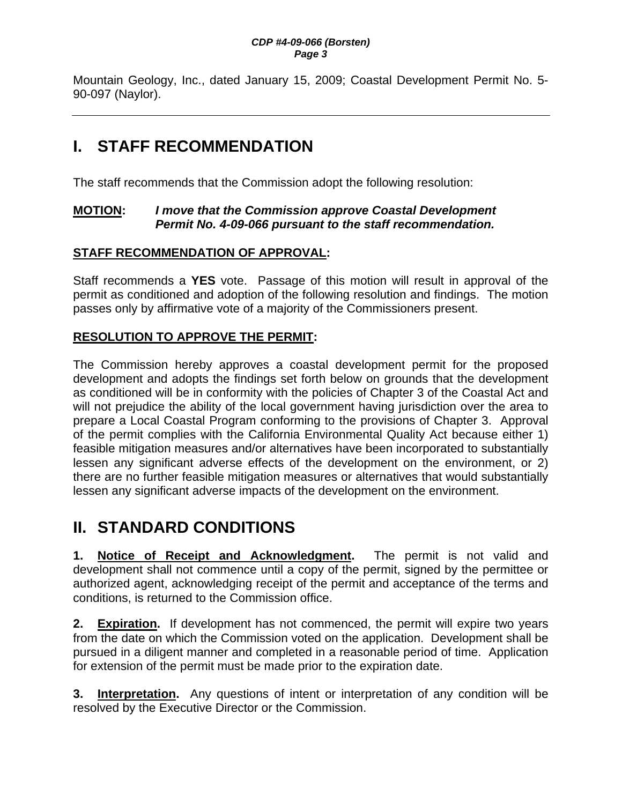Mountain Geology, Inc., dated January 15, 2009; Coastal Development Permit No. 5- 90-097 (Naylor).

# **I. STAFF RECOMMENDATION**

The staff recommends that the Commission adopt the following resolution:

### **MOTION:** *I move that the Commission approve Coastal Development Permit No. 4-09-066 pursuant to the staff recommendation.*

### **STAFF RECOMMENDATION OF APPROVAL:**

Staff recommends a **YES** vote. Passage of this motion will result in approval of the permit as conditioned and adoption of the following resolution and findings. The motion passes only by affirmative vote of a majority of the Commissioners present.

## **RESOLUTION TO APPROVE THE PERMIT:**

The Commission hereby approves a coastal development permit for the proposed development and adopts the findings set forth below on grounds that the development as conditioned will be in conformity with the policies of Chapter 3 of the Coastal Act and will not prejudice the ability of the local government having jurisdiction over the area to prepare a Local Coastal Program conforming to the provisions of Chapter 3. Approval of the permit complies with the California Environmental Quality Act because either 1) feasible mitigation measures and/or alternatives have been incorporated to substantially lessen any significant adverse effects of the development on the environment, or 2) there are no further feasible mitigation measures or alternatives that would substantially lessen any significant adverse impacts of the development on the environment.

# **II. STANDARD CONDITIONS**

**1. Notice of Receipt and Acknowledgment.** The permit is not valid and development shall not commence until a copy of the permit, signed by the permittee or authorized agent, acknowledging receipt of the permit and acceptance of the terms and conditions, is returned to the Commission office.

**2. Expiration.** If development has not commenced, the permit will expire two years from the date on which the Commission voted on the application. Development shall be pursued in a diligent manner and completed in a reasonable period of time. Application for extension of the permit must be made prior to the expiration date.

**3. Interpretation.** Any questions of intent or interpretation of any condition will be resolved by the Executive Director or the Commission.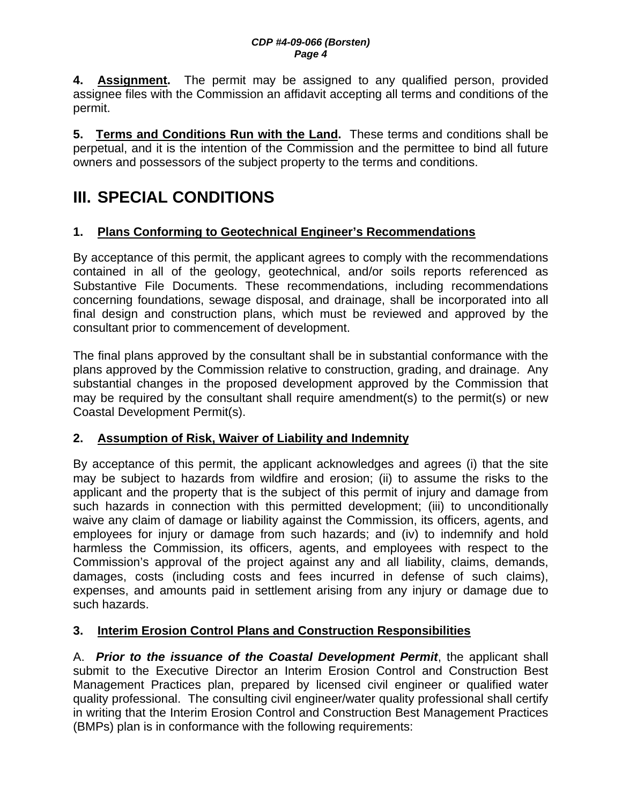**4. Assignment.** The permit may be assigned to any qualified person, provided assignee files with the Commission an affidavit accepting all terms and conditions of the permit.

**5. Terms and Conditions Run with the Land.** These terms and conditions shall be perpetual, and it is the intention of the Commission and the permittee to bind all future owners and possessors of the subject property to the terms and conditions.

# **III. SPECIAL CONDITIONS**

### **1. Plans Conforming to Geotechnical Engineer's Recommendations**

By acceptance of this permit, the applicant agrees to comply with the recommendations contained in all of the geology, geotechnical, and/or soils reports referenced as Substantive File Documents. These recommendations, including recommendations concerning foundations, sewage disposal, and drainage, shall be incorporated into all final design and construction plans, which must be reviewed and approved by the consultant prior to commencement of development.

The final plans approved by the consultant shall be in substantial conformance with the plans approved by the Commission relative to construction, grading, and drainage. Any substantial changes in the proposed development approved by the Commission that may be required by the consultant shall require amendment(s) to the permit(s) or new Coastal Development Permit(s).

### **2. Assumption of Risk, Waiver of Liability and Indemnity**

By acceptance of this permit, the applicant acknowledges and agrees (i) that the site may be subject to hazards from wildfire and erosion; (ii) to assume the risks to the applicant and the property that is the subject of this permit of injury and damage from such hazards in connection with this permitted development; (iii) to unconditionally waive any claim of damage or liability against the Commission, its officers, agents, and employees for injury or damage from such hazards; and (iv) to indemnify and hold harmless the Commission, its officers, agents, and employees with respect to the Commission's approval of the project against any and all liability, claims, demands, damages, costs (including costs and fees incurred in defense of such claims), expenses, and amounts paid in settlement arising from any injury or damage due to such hazards.

### **3. Interim Erosion Control Plans and Construction Responsibilities**

A. *Prior to the issuance of the Coastal Development Permit*, the applicant shall submit to the Executive Director an Interim Erosion Control and Construction Best Management Practices plan, prepared by licensed civil engineer or qualified water quality professional. The consulting civil engineer/water quality professional shall certify in writing that the Interim Erosion Control and Construction Best Management Practices (BMPs) plan is in conformance with the following requirements: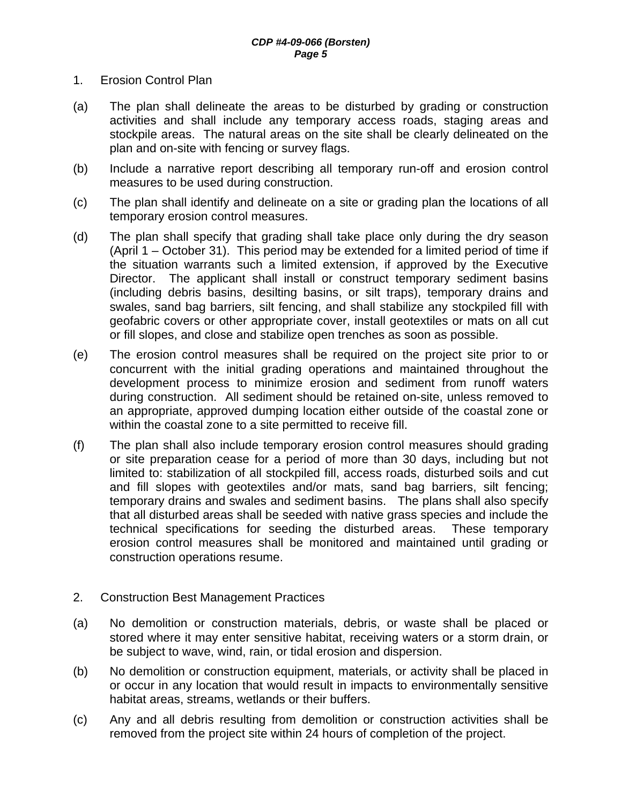- 1. Erosion Control Plan
- (a) The plan shall delineate the areas to be disturbed by grading or construction activities and shall include any temporary access roads, staging areas and stockpile areas. The natural areas on the site shall be clearly delineated on the plan and on-site with fencing or survey flags.
- (b) Include a narrative report describing all temporary run-off and erosion control measures to be used during construction.
- (c) The plan shall identify and delineate on a site or grading plan the locations of all temporary erosion control measures.
- (d) The plan shall specify that grading shall take place only during the dry season (April 1 – October 31). This period may be extended for a limited period of time if the situation warrants such a limited extension, if approved by the Executive Director. The applicant shall install or construct temporary sediment basins (including debris basins, desilting basins, or silt traps), temporary drains and swales, sand bag barriers, silt fencing, and shall stabilize any stockpiled fill with geofabric covers or other appropriate cover, install geotextiles or mats on all cut or fill slopes, and close and stabilize open trenches as soon as possible.
- (e) The erosion control measures shall be required on the project site prior to or concurrent with the initial grading operations and maintained throughout the development process to minimize erosion and sediment from runoff waters during construction. All sediment should be retained on-site, unless removed to an appropriate, approved dumping location either outside of the coastal zone or within the coastal zone to a site permitted to receive fill.
- (f) The plan shall also include temporary erosion control measures should grading or site preparation cease for a period of more than 30 days, including but not limited to: stabilization of all stockpiled fill, access roads, disturbed soils and cut and fill slopes with geotextiles and/or mats, sand bag barriers, silt fencing; temporary drains and swales and sediment basins. The plans shall also specify that all disturbed areas shall be seeded with native grass species and include the technical specifications for seeding the disturbed areas. These temporary erosion control measures shall be monitored and maintained until grading or construction operations resume.
- 2. Construction Best Management Practices
- (a) No demolition or construction materials, debris, or waste shall be placed or stored where it may enter sensitive habitat, receiving waters or a storm drain, or be subject to wave, wind, rain, or tidal erosion and dispersion.
- (b) No demolition or construction equipment, materials, or activity shall be placed in or occur in any location that would result in impacts to environmentally sensitive habitat areas, streams, wetlands or their buffers.
- (c) Any and all debris resulting from demolition or construction activities shall be removed from the project site within 24 hours of completion of the project.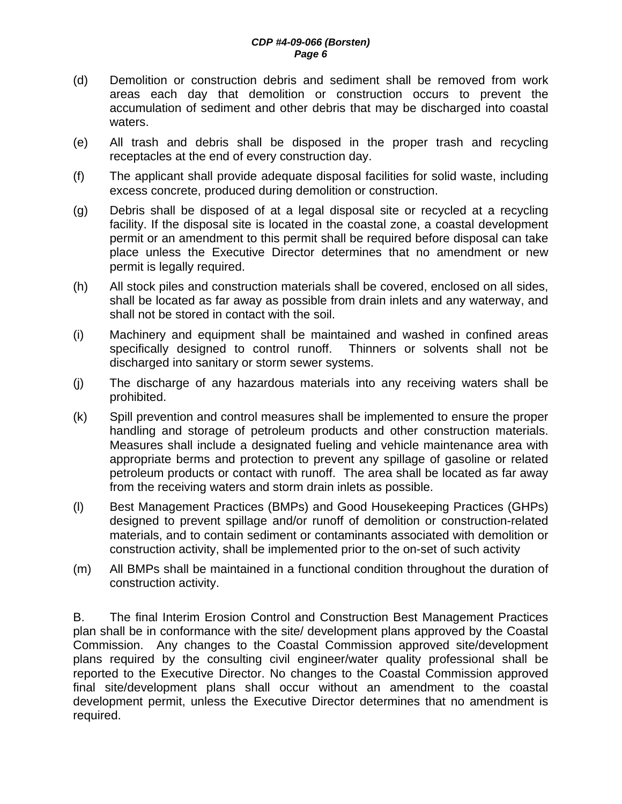- (d) Demolition or construction debris and sediment shall be removed from work areas each day that demolition or construction occurs to prevent the accumulation of sediment and other debris that may be discharged into coastal waters.
- (e) All trash and debris shall be disposed in the proper trash and recycling receptacles at the end of every construction day.
- (f) The applicant shall provide adequate disposal facilities for solid waste, including excess concrete, produced during demolition or construction.
- (g) Debris shall be disposed of at a legal disposal site or recycled at a recycling facility. If the disposal site is located in the coastal zone, a coastal development permit or an amendment to this permit shall be required before disposal can take place unless the Executive Director determines that no amendment or new permit is legally required.
- (h) All stock piles and construction materials shall be covered, enclosed on all sides, shall be located as far away as possible from drain inlets and any waterway, and shall not be stored in contact with the soil.
- (i) Machinery and equipment shall be maintained and washed in confined areas specifically designed to control runoff. Thinners or solvents shall not be discharged into sanitary or storm sewer systems.
- (j) The discharge of any hazardous materials into any receiving waters shall be prohibited.
- (k) Spill prevention and control measures shall be implemented to ensure the proper handling and storage of petroleum products and other construction materials. Measures shall include a designated fueling and vehicle maintenance area with appropriate berms and protection to prevent any spillage of gasoline or related petroleum products or contact with runoff. The area shall be located as far away from the receiving waters and storm drain inlets as possible.
- (l) Best Management Practices (BMPs) and Good Housekeeping Practices (GHPs) designed to prevent spillage and/or runoff of demolition or construction-related materials, and to contain sediment or contaminants associated with demolition or construction activity, shall be implemented prior to the on-set of such activity
- (m) All BMPs shall be maintained in a functional condition throughout the duration of construction activity.

B. The final Interim Erosion Control and Construction Best Management Practices plan shall be in conformance with the site/ development plans approved by the Coastal Commission. Any changes to the Coastal Commission approved site/development plans required by the consulting civil engineer/water quality professional shall be reported to the Executive Director. No changes to the Coastal Commission approved final site/development plans shall occur without an amendment to the coastal development permit, unless the Executive Director determines that no amendment is required.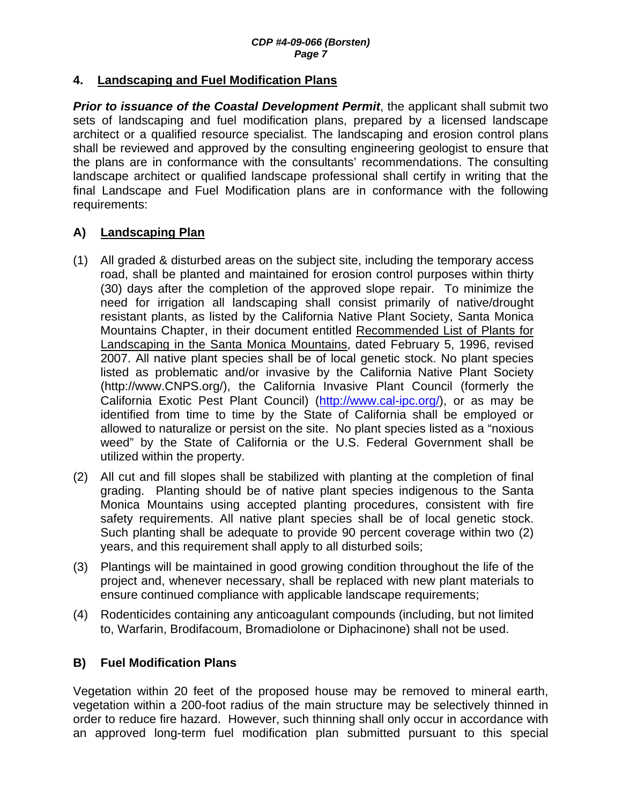#### **4. Landscaping and Fuel Modification Plans**

**Prior to issuance of the Coastal Development Permit**, the applicant shall submit two sets of landscaping and fuel modification plans, prepared by a licensed landscape architect or a qualified resource specialist. The landscaping and erosion control plans shall be reviewed and approved by the consulting engineering geologist to ensure that the plans are in conformance with the consultants' recommendations. The consulting landscape architect or qualified landscape professional shall certify in writing that the final Landscape and Fuel Modification plans are in conformance with the following requirements:

#### **A) Landscaping Plan**

- (1) All graded & disturbed areas on the subject site, including the temporary access road, shall be planted and maintained for erosion control purposes within thirty (30) days after the completion of the approved slope repair. To minimize the need for irrigation all landscaping shall consist primarily of native/drought resistant plants, as listed by the California Native Plant Society, Santa Monica Mountains Chapter, in their document entitled Recommended List of Plants for Landscaping in the Santa Monica Mountains, dated February 5, 1996, revised 2007. All native plant species shall be of local genetic stock. No plant species listed as problematic and/or invasive by the California Native Plant Society (http://www.CNPS.org/), the California Invasive Plant Council (formerly the California Exotic Pest Plant Council) (http://www.cal-ipc.org/), or as may be identified from time to time by the State of California shall be employed or allowed to naturalize or persist on the site. No plant species listed as a "noxious weed" by the State of California or the U.S. Federal Government shall be utilized within the property.
- (2) All cut and fill slopes shall be stabilized with planting at the completion of final grading. Planting should be of native plant species indigenous to the Santa Monica Mountains using accepted planting procedures, consistent with fire safety requirements. All native plant species shall be of local genetic stock. Such planting shall be adequate to provide 90 percent coverage within two (2) years, and this requirement shall apply to all disturbed soils;
- (3) Plantings will be maintained in good growing condition throughout the life of the project and, whenever necessary, shall be replaced with new plant materials to ensure continued compliance with applicable landscape requirements;
- (4) Rodenticides containing any anticoagulant compounds (including, but not limited to, Warfarin, Brodifacoum, Bromadiolone or Diphacinone) shall not be used.

#### **B) Fuel Modification Plans**

Vegetation within 20 feet of the proposed house may be removed to mineral earth, vegetation within a 200-foot radius of the main structure may be selectively thinned in order to reduce fire hazard. However, such thinning shall only occur in accordance with an approved long-term fuel modification plan submitted pursuant to this special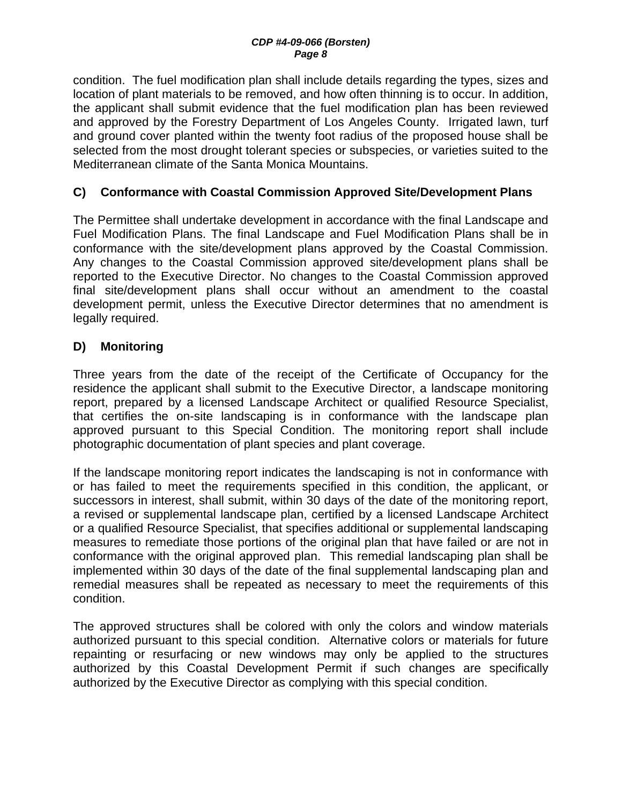condition. The fuel modification plan shall include details regarding the types, sizes and location of plant materials to be removed, and how often thinning is to occur. In addition, the applicant shall submit evidence that the fuel modification plan has been reviewed and approved by the Forestry Department of Los Angeles County. Irrigated lawn, turf and ground cover planted within the twenty foot radius of the proposed house shall be selected from the most drought tolerant species or subspecies, or varieties suited to the Mediterranean climate of the Santa Monica Mountains.

### **C) Conformance with Coastal Commission Approved Site/Development Plans**

The Permittee shall undertake development in accordance with the final Landscape and Fuel Modification Plans. The final Landscape and Fuel Modification Plans shall be in conformance with the site/development plans approved by the Coastal Commission. Any changes to the Coastal Commission approved site/development plans shall be reported to the Executive Director. No changes to the Coastal Commission approved final site/development plans shall occur without an amendment to the coastal development permit, unless the Executive Director determines that no amendment is legally required.

### **D) Monitoring**

Three years from the date of the receipt of the Certificate of Occupancy for the residence the applicant shall submit to the Executive Director, a landscape monitoring report, prepared by a licensed Landscape Architect or qualified Resource Specialist, that certifies the on-site landscaping is in conformance with the landscape plan approved pursuant to this Special Condition. The monitoring report shall include photographic documentation of plant species and plant coverage.

If the landscape monitoring report indicates the landscaping is not in conformance with or has failed to meet the requirements specified in this condition, the applicant, or successors in interest, shall submit, within 30 days of the date of the monitoring report, a revised or supplemental landscape plan, certified by a licensed Landscape Architect or a qualified Resource Specialist, that specifies additional or supplemental landscaping measures to remediate those portions of the original plan that have failed or are not in conformance with the original approved plan. This remedial landscaping plan shall be implemented within 30 days of the date of the final supplemental landscaping plan and remedial measures shall be repeated as necessary to meet the requirements of this condition.

The approved structures shall be colored with only the colors and window materials authorized pursuant to this special condition. Alternative colors or materials for future repainting or resurfacing or new windows may only be applied to the structures authorized by this Coastal Development Permit if such changes are specifically authorized by the Executive Director as complying with this special condition.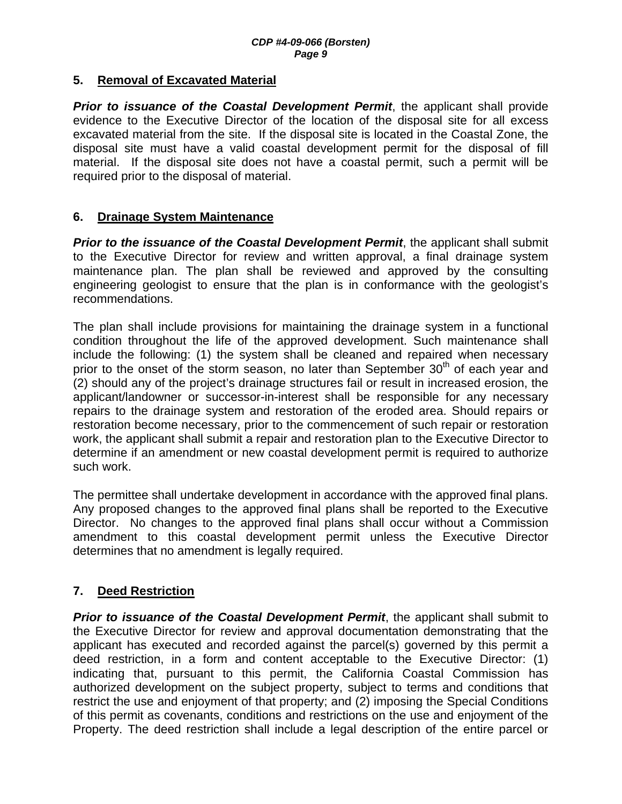#### **5. Removal of Excavated Material**

**Prior to issuance of the Coastal Development Permit**, the applicant shall provide evidence to the Executive Director of the location of the disposal site for all excess excavated material from the site. If the disposal site is located in the Coastal Zone, the disposal site must have a valid coastal development permit for the disposal of fill material. If the disposal site does not have a coastal permit, such a permit will be required prior to the disposal of material.

#### **6. Drainage System Maintenance**

**Prior to the issuance of the Coastal Development Permit**, the applicant shall submit to the Executive Director for review and written approval, a final drainage system maintenance plan. The plan shall be reviewed and approved by the consulting engineering geologist to ensure that the plan is in conformance with the geologist's recommendations.

The plan shall include provisions for maintaining the drainage system in a functional condition throughout the life of the approved development. Such maintenance shall include the following: (1) the system shall be cleaned and repaired when necessary prior to the onset of the storm season, no later than September  $30<sup>th</sup>$  of each year and (2) should any of the project's drainage structures fail or result in increased erosion, the applicant/landowner or successor-in-interest shall be responsible for any necessary repairs to the drainage system and restoration of the eroded area. Should repairs or restoration become necessary, prior to the commencement of such repair or restoration work, the applicant shall submit a repair and restoration plan to the Executive Director to determine if an amendment or new coastal development permit is required to authorize such work.

The permittee shall undertake development in accordance with the approved final plans. Any proposed changes to the approved final plans shall be reported to the Executive Director. No changes to the approved final plans shall occur without a Commission amendment to this coastal development permit unless the Executive Director determines that no amendment is legally required.

### **7. Deed Restriction**

*Prior to issuance of the Coastal Development Permit*, the applicant shall submit to the Executive Director for review and approval documentation demonstrating that the applicant has executed and recorded against the parcel(s) governed by this permit a deed restriction, in a form and content acceptable to the Executive Director: (1) indicating that, pursuant to this permit, the California Coastal Commission has authorized development on the subject property, subject to terms and conditions that restrict the use and enjoyment of that property; and (2) imposing the Special Conditions of this permit as covenants, conditions and restrictions on the use and enjoyment of the Property. The deed restriction shall include a legal description of the entire parcel or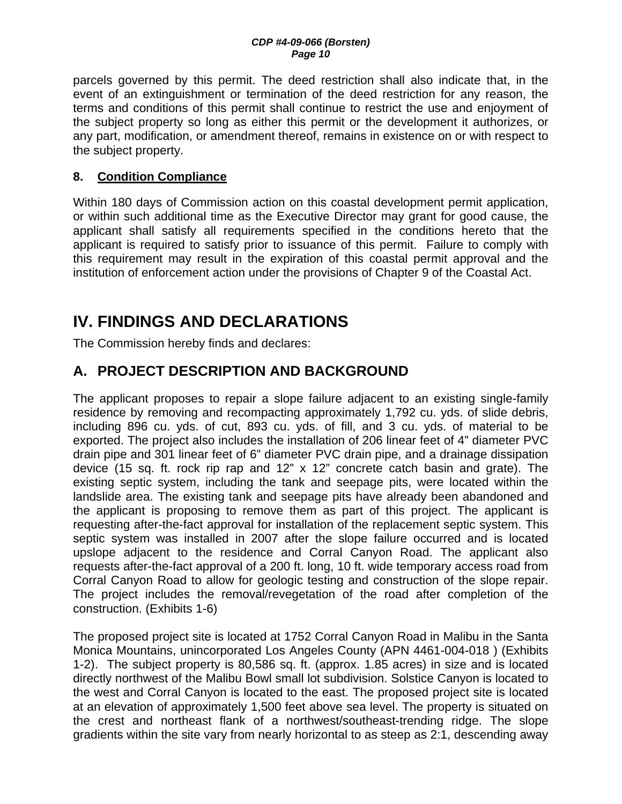parcels governed by this permit. The deed restriction shall also indicate that, in the event of an extinguishment or termination of the deed restriction for any reason, the terms and conditions of this permit shall continue to restrict the use and enjoyment of the subject property so long as either this permit or the development it authorizes, or any part, modification, or amendment thereof, remains in existence on or with respect to the subject property.

### **8. Condition Compliance**

Within 180 days of Commission action on this coastal development permit application, or within such additional time as the Executive Director may grant for good cause, the applicant shall satisfy all requirements specified in the conditions hereto that the applicant is required to satisfy prior to issuance of this permit. Failure to comply with this requirement may result in the expiration of this coastal permit approval and the institution of enforcement action under the provisions of Chapter 9 of the Coastal Act.

# **IV. FINDINGS AND DECLARATIONS**

The Commission hereby finds and declares:

## **A. PROJECT DESCRIPTION AND BACKGROUND**

The applicant proposes to repair a slope failure adjacent to an existing single-family residence by removing and recompacting approximately 1,792 cu. yds. of slide debris, including 896 cu. yds. of cut, 893 cu. yds. of fill, and 3 cu. yds. of material to be exported. The project also includes the installation of 206 linear feet of 4" diameter PVC drain pipe and 301 linear feet of 6" diameter PVC drain pipe, and a drainage dissipation device (15 sq. ft. rock rip rap and 12" x 12" concrete catch basin and grate). The existing septic system, including the tank and seepage pits, were located within the landslide area. The existing tank and seepage pits have already been abandoned and the applicant is proposing to remove them as part of this project. The applicant is requesting after-the-fact approval for installation of the replacement septic system. This septic system was installed in 2007 after the slope failure occurred and is located upslope adjacent to the residence and Corral Canyon Road. The applicant also requests after-the-fact approval of a 200 ft. long, 10 ft. wide temporary access road from Corral Canyon Road to allow for geologic testing and construction of the slope repair. The project includes the removal/revegetation of the road after completion of the construction. (Exhibits 1-6)

The proposed project site is located at 1752 Corral Canyon Road in Malibu in the Santa Monica Mountains, unincorporated Los Angeles County (APN 4461-004-018 ) (Exhibits 1-2). The subject property is 80,586 sq. ft. (approx. 1.85 acres) in size and is located directly northwest of the Malibu Bowl small lot subdivision. Solstice Canyon is located to the west and Corral Canyon is located to the east. The proposed project site is located at an elevation of approximately 1,500 feet above sea level. The property is situated on the crest and northeast flank of a northwest/southeast-trending ridge. The slope gradients within the site vary from nearly horizontal to as steep as 2:1, descending away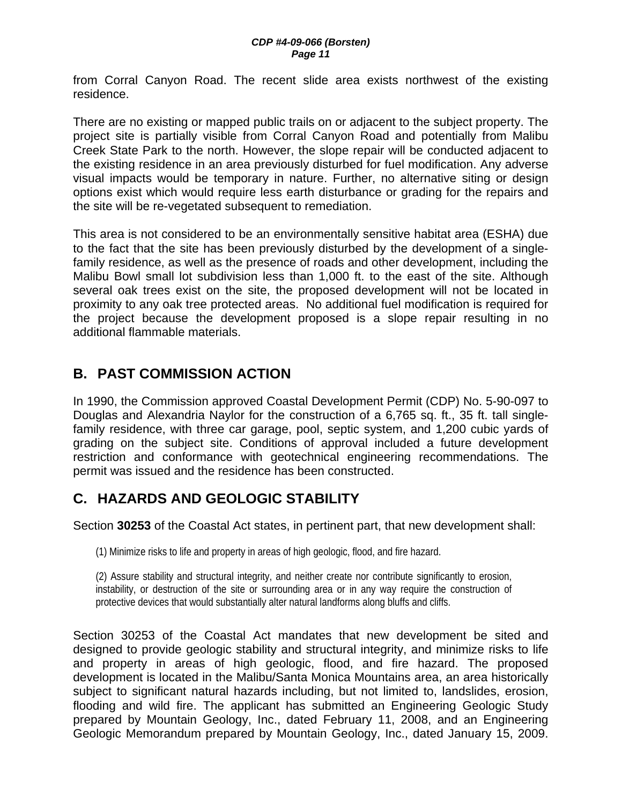from Corral Canyon Road. The recent slide area exists northwest of the existing residence.

There are no existing or mapped public trails on or adjacent to the subject property. The project site is partially visible from Corral Canyon Road and potentially from Malibu Creek State Park to the north. However, the slope repair will be conducted adjacent to the existing residence in an area previously disturbed for fuel modification. Any adverse visual impacts would be temporary in nature. Further, no alternative siting or design options exist which would require less earth disturbance or grading for the repairs and the site will be re-vegetated subsequent to remediation.

This area is not considered to be an environmentally sensitive habitat area (ESHA) due to the fact that the site has been previously disturbed by the development of a singlefamily residence, as well as the presence of roads and other development, including the Malibu Bowl small lot subdivision less than 1,000 ft. to the east of the site. Although several oak trees exist on the site, the proposed development will not be located in proximity to any oak tree protected areas. No additional fuel modification is required for the project because the development proposed is a slope repair resulting in no additional flammable materials.

## **B. PAST COMMISSION ACTION**

In 1990, the Commission approved Coastal Development Permit (CDP) No. 5-90-097 to Douglas and Alexandria Naylor for the construction of a 6,765 sq. ft., 35 ft. tall singlefamily residence, with three car garage, pool, septic system, and 1,200 cubic yards of grading on the subject site. Conditions of approval included a future development restriction and conformance with geotechnical engineering recommendations. The permit was issued and the residence has been constructed.

# **C. HAZARDS AND GEOLOGIC STABILITY**

Section **30253** of the Coastal Act states, in pertinent part, that new development shall:

(1) Minimize risks to life and property in areas of high geologic, flood, and fire hazard.

(2) Assure stability and structural integrity, and neither create nor contribute significantly to erosion, instability, or destruction of the site or surrounding area or in any way require the construction of protective devices that would substantially alter natural landforms along bluffs and cliffs.

Section 30253 of the Coastal Act mandates that new development be sited and designed to provide geologic stability and structural integrity, and minimize risks to life and property in areas of high geologic, flood, and fire hazard. The proposed development is located in the Malibu/Santa Monica Mountains area, an area historically subject to significant natural hazards including, but not limited to, landslides, erosion, flooding and wild fire. The applicant has submitted an Engineering Geologic Study prepared by Mountain Geology, Inc., dated February 11, 2008, and an Engineering Geologic Memorandum prepared by Mountain Geology, Inc., dated January 15, 2009.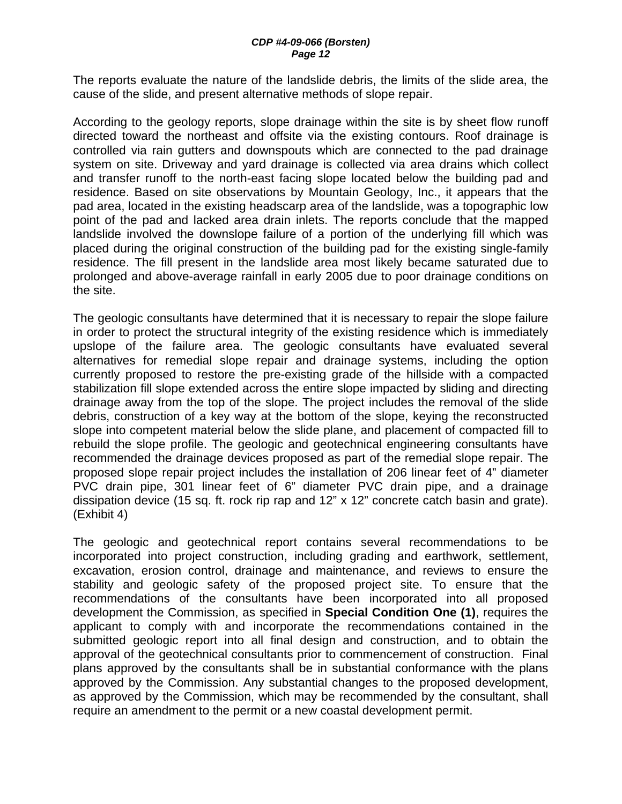The reports evaluate the nature of the landslide debris, the limits of the slide area, the cause of the slide, and present alternative methods of slope repair.

According to the geology reports, slope drainage within the site is by sheet flow runoff directed toward the northeast and offsite via the existing contours. Roof drainage is controlled via rain gutters and downspouts which are connected to the pad drainage system on site. Driveway and yard drainage is collected via area drains which collect and transfer runoff to the north-east facing slope located below the building pad and residence. Based on site observations by Mountain Geology, Inc., it appears that the pad area, located in the existing headscarp area of the landslide, was a topographic low point of the pad and lacked area drain inlets. The reports conclude that the mapped landslide involved the downslope failure of a portion of the underlying fill which was placed during the original construction of the building pad for the existing single-family residence. The fill present in the landslide area most likely became saturated due to prolonged and above-average rainfall in early 2005 due to poor drainage conditions on the site.

The geologic consultants have determined that it is necessary to repair the slope failure in order to protect the structural integrity of the existing residence which is immediately upslope of the failure area. The geologic consultants have evaluated several alternatives for remedial slope repair and drainage systems, including the option currently proposed to restore the pre-existing grade of the hillside with a compacted stabilization fill slope extended across the entire slope impacted by sliding and directing drainage away from the top of the slope. The project includes the removal of the slide debris, construction of a key way at the bottom of the slope, keying the reconstructed slope into competent material below the slide plane, and placement of compacted fill to rebuild the slope profile. The geologic and geotechnical engineering consultants have recommended the drainage devices proposed as part of the remedial slope repair. The proposed slope repair project includes the installation of 206 linear feet of 4" diameter PVC drain pipe, 301 linear feet of 6" diameter PVC drain pipe, and a drainage dissipation device (15 sq. ft. rock rip rap and 12" x 12" concrete catch basin and grate). (Exhibit 4)

The geologic and geotechnical report contains several recommendations to be incorporated into project construction, including grading and earthwork, settlement, excavation, erosion control, drainage and maintenance, and reviews to ensure the stability and geologic safety of the proposed project site. To ensure that the recommendations of the consultants have been incorporated into all proposed development the Commission, as specified in **Special Condition One (1)**, requires the applicant to comply with and incorporate the recommendations contained in the submitted geologic report into all final design and construction, and to obtain the approval of the geotechnical consultants prior to commencement of construction. Final plans approved by the consultants shall be in substantial conformance with the plans approved by the Commission. Any substantial changes to the proposed development, as approved by the Commission, which may be recommended by the consultant, shall require an amendment to the permit or a new coastal development permit.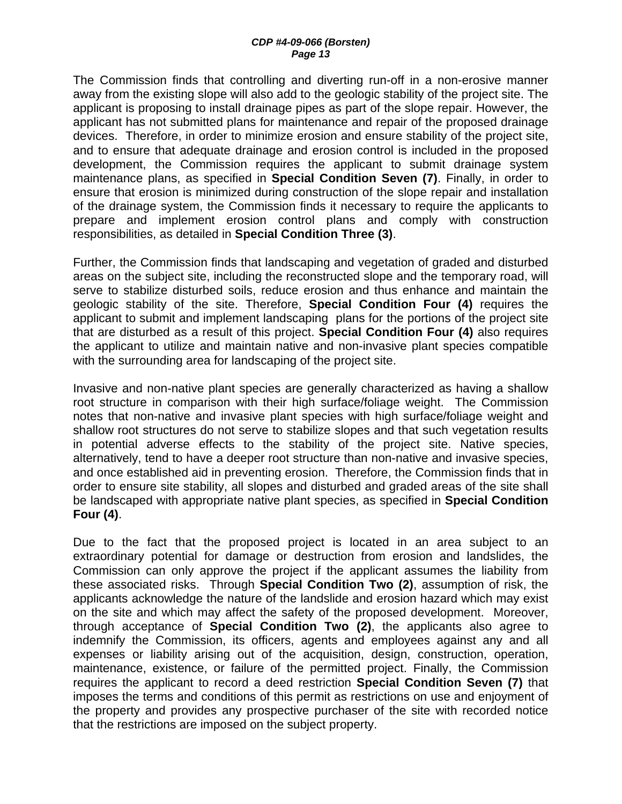The Commission finds that controlling and diverting run-off in a non-erosive manner away from the existing slope will also add to the geologic stability of the project site. The applicant is proposing to install drainage pipes as part of the slope repair. However, the applicant has not submitted plans for maintenance and repair of the proposed drainage devices. Therefore, in order to minimize erosion and ensure stability of the project site, and to ensure that adequate drainage and erosion control is included in the proposed development, the Commission requires the applicant to submit drainage system maintenance plans, as specified in **Special Condition Seven (7)**. Finally, in order to ensure that erosion is minimized during construction of the slope repair and installation of the drainage system, the Commission finds it necessary to require the applicants to prepare and implement erosion control plans and comply with construction responsibilities, as detailed in **Special Condition Three (3)**.

Further, the Commission finds that landscaping and vegetation of graded and disturbed areas on the subject site, including the reconstructed slope and the temporary road, will serve to stabilize disturbed soils, reduce erosion and thus enhance and maintain the geologic stability of the site. Therefore, **Special Condition Four (4)** requires the applicant to submit and implement landscaping plans for the portions of the project site that are disturbed as a result of this project. **Special Condition Four (4)** also requires the applicant to utilize and maintain native and non-invasive plant species compatible with the surrounding area for landscaping of the project site.

Invasive and non-native plant species are generally characterized as having a shallow root structure in comparison with their high surface/foliage weight. The Commission notes that non-native and invasive plant species with high surface/foliage weight and shallow root structures do not serve to stabilize slopes and that such vegetation results in potential adverse effects to the stability of the project site. Native species, alternatively, tend to have a deeper root structure than non-native and invasive species, and once established aid in preventing erosion. Therefore, the Commission finds that in order to ensure site stability, all slopes and disturbed and graded areas of the site shall be landscaped with appropriate native plant species, as specified in **Special Condition Four (4)**.

Due to the fact that the proposed project is located in an area subject to an extraordinary potential for damage or destruction from erosion and landslides, the Commission can only approve the project if the applicant assumes the liability from these associated risks. Through **Special Condition Two (2)**, assumption of risk, the applicants acknowledge the nature of the landslide and erosion hazard which may exist on the site and which may affect the safety of the proposed development. Moreover, through acceptance of **Special Condition Two (2)**, the applicants also agree to indemnify the Commission, its officers, agents and employees against any and all expenses or liability arising out of the acquisition, design, construction, operation, maintenance, existence, or failure of the permitted project. Finally, the Commission requires the applicant to record a deed restriction **Special Condition Seven (7)** that imposes the terms and conditions of this permit as restrictions on use and enjoyment of the property and provides any prospective purchaser of the site with recorded notice that the restrictions are imposed on the subject property.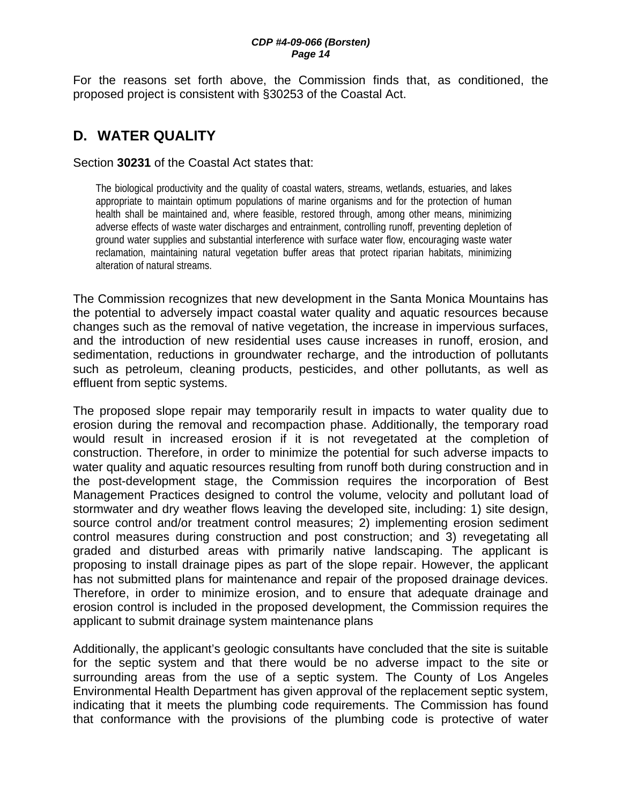For the reasons set forth above, the Commission finds that, as conditioned, the proposed project is consistent with §30253 of the Coastal Act.

## **D. WATER QUALITY**

Section **30231** of the Coastal Act states that:

The biological productivity and the quality of coastal waters, streams, wetlands, estuaries, and lakes appropriate to maintain optimum populations of marine organisms and for the protection of human health shall be maintained and, where feasible, restored through, among other means, minimizing adverse effects of waste water discharges and entrainment, controlling runoff, preventing depletion of ground water supplies and substantial interference with surface water flow, encouraging waste water reclamation, maintaining natural vegetation buffer areas that protect riparian habitats, minimizing alteration of natural streams.

The Commission recognizes that new development in the Santa Monica Mountains has the potential to adversely impact coastal water quality and aquatic resources because changes such as the removal of native vegetation, the increase in impervious surfaces, and the introduction of new residential uses cause increases in runoff, erosion, and sedimentation, reductions in groundwater recharge, and the introduction of pollutants such as petroleum, cleaning products, pesticides, and other pollutants, as well as effluent from septic systems.

The proposed slope repair may temporarily result in impacts to water quality due to erosion during the removal and recompaction phase. Additionally, the temporary road would result in increased erosion if it is not revegetated at the completion of construction. Therefore, in order to minimize the potential for such adverse impacts to water quality and aquatic resources resulting from runoff both during construction and in the post-development stage, the Commission requires the incorporation of Best Management Practices designed to control the volume, velocity and pollutant load of stormwater and dry weather flows leaving the developed site, including: 1) site design, source control and/or treatment control measures; 2) implementing erosion sediment control measures during construction and post construction; and 3) revegetating all graded and disturbed areas with primarily native landscaping. The applicant is proposing to install drainage pipes as part of the slope repair. However, the applicant has not submitted plans for maintenance and repair of the proposed drainage devices. Therefore, in order to minimize erosion, and to ensure that adequate drainage and erosion control is included in the proposed development, the Commission requires the applicant to submit drainage system maintenance plans

Additionally, the applicant's geologic consultants have concluded that the site is suitable for the septic system and that there would be no adverse impact to the site or surrounding areas from the use of a septic system. The County of Los Angeles Environmental Health Department has given approval of the replacement septic system, indicating that it meets the plumbing code requirements. The Commission has found that conformance with the provisions of the plumbing code is protective of water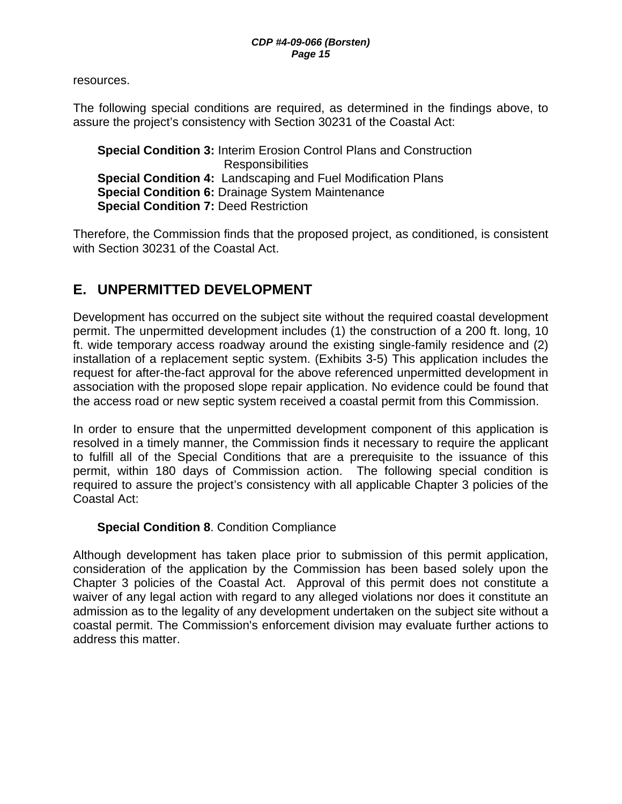resources.

The following special conditions are required, as determined in the findings above, to assure the project's consistency with Section 30231 of the Coastal Act:

**Special Condition 3:** Interim Erosion Control Plans and Construction **Responsibilities Special Condition 4:** Landscaping and Fuel Modification Plans **Special Condition 6:** Drainage System Maintenance **Special Condition 7: Deed Restriction** 

Therefore, the Commission finds that the proposed project, as conditioned, is consistent with Section 30231 of the Coastal Act.

## **E. UNPERMITTED DEVELOPMENT**

Development has occurred on the subject site without the required coastal development permit. The unpermitted development includes (1) the construction of a 200 ft. long, 10 ft. wide temporary access roadway around the existing single-family residence and (2) installation of a replacement septic system. (Exhibits 3-5) This application includes the request for after-the-fact approval for the above referenced unpermitted development in association with the proposed slope repair application. No evidence could be found that the access road or new septic system received a coastal permit from this Commission.

In order to ensure that the unpermitted development component of this application is resolved in a timely manner, the Commission finds it necessary to require the applicant to fulfill all of the Special Conditions that are a prerequisite to the issuance of this permit, within 180 days of Commission action. The following special condition is required to assure the project's consistency with all applicable Chapter 3 policies of the Coastal Act:

### **Special Condition 8**. Condition Compliance

Although development has taken place prior to submission of this permit application, consideration of the application by the Commission has been based solely upon the Chapter 3 policies of the Coastal Act. Approval of this permit does not constitute a waiver of any legal action with regard to any alleged violations nor does it constitute an admission as to the legality of any development undertaken on the subject site without a coastal permit. The Commission's enforcement division may evaluate further actions to address this matter.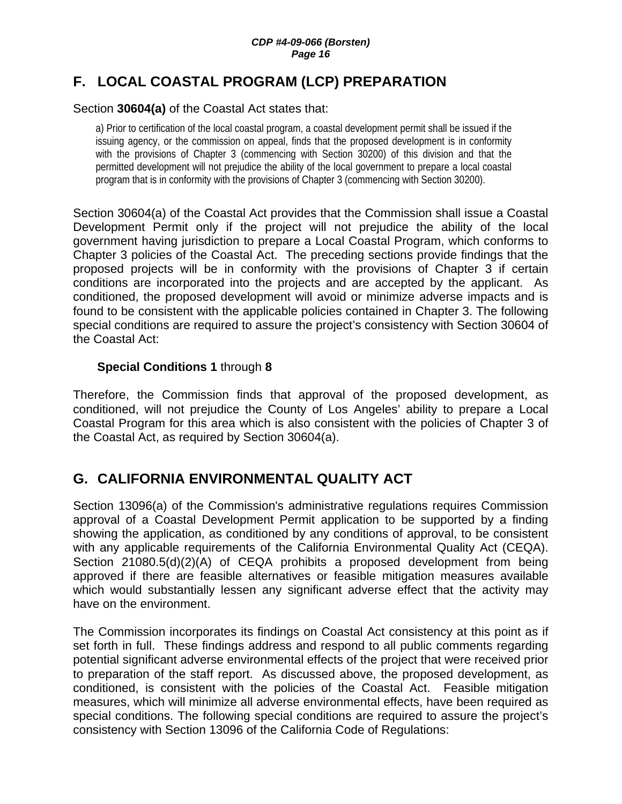## **F. LOCAL COASTAL PROGRAM (LCP) PREPARATION**

#### Section **30604(a)** of the Coastal Act states that:

a) Prior to certification of the local coastal program, a coastal development permit shall be issued if the issuing agency, or the commission on appeal, finds that the proposed development is in conformity with the provisions of Chapter 3 (commencing with Section 30200) of this division and that the permitted development will not prejudice the ability of the local government to prepare a local coastal program that is in conformity with the provisions of Chapter 3 (commencing with Section 30200).

Section 30604(a) of the Coastal Act provides that the Commission shall issue a Coastal Development Permit only if the project will not prejudice the ability of the local government having jurisdiction to prepare a Local Coastal Program, which conforms to Chapter 3 policies of the Coastal Act. The preceding sections provide findings that the proposed projects will be in conformity with the provisions of Chapter 3 if certain conditions are incorporated into the projects and are accepted by the applicant. As conditioned, the proposed development will avoid or minimize adverse impacts and is found to be consistent with the applicable policies contained in Chapter 3. The following special conditions are required to assure the project's consistency with Section 30604 of the Coastal Act:

#### **Special Conditions 1** through **8**

Therefore, the Commission finds that approval of the proposed development, as conditioned, will not prejudice the County of Los Angeles' ability to prepare a Local Coastal Program for this area which is also consistent with the policies of Chapter 3 of the Coastal Act, as required by Section 30604(a).

## **G. CALIFORNIA ENVIRONMENTAL QUALITY ACT**

Section 13096(a) of the Commission's administrative regulations requires Commission approval of a Coastal Development Permit application to be supported by a finding showing the application, as conditioned by any conditions of approval, to be consistent with any applicable requirements of the California Environmental Quality Act (CEQA). Section 21080.5(d)(2)(A) of CEQA prohibits a proposed development from being approved if there are feasible alternatives or feasible mitigation measures available which would substantially lessen any significant adverse effect that the activity may have on the environment.

The Commission incorporates its findings on Coastal Act consistency at this point as if set forth in full. These findings address and respond to all public comments regarding potential significant adverse environmental effects of the project that were received prior to preparation of the staff report. As discussed above, the proposed development, as conditioned, is consistent with the policies of the Coastal Act. Feasible mitigation measures, which will minimize all adverse environmental effects, have been required as special conditions. The following special conditions are required to assure the project's consistency with Section 13096 of the California Code of Regulations: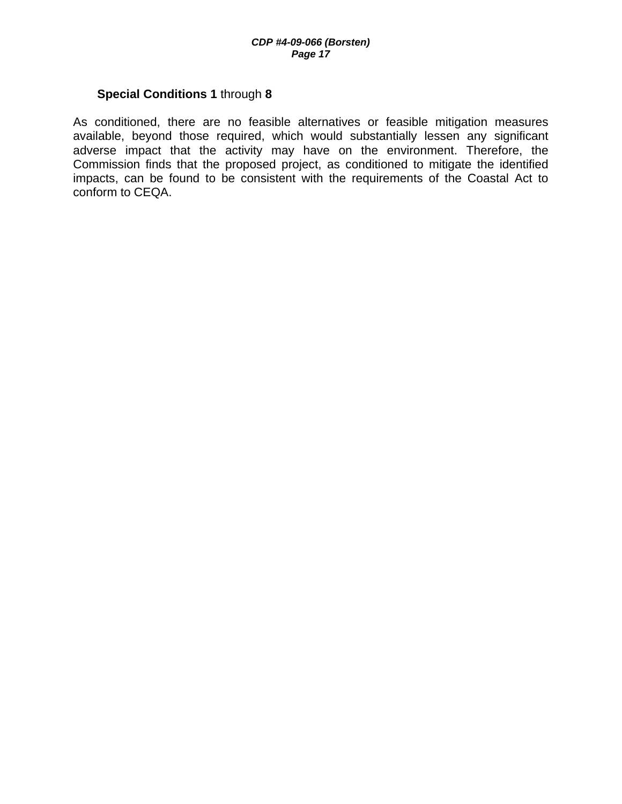#### **Special Conditions 1** through **8**

As conditioned, there are no feasible alternatives or feasible mitigation measures available, beyond those required, which would substantially lessen any significant adverse impact that the activity may have on the environment. Therefore, the Commission finds that the proposed project, as conditioned to mitigate the identified impacts, can be found to be consistent with the requirements of the Coastal Act to conform to CEQA.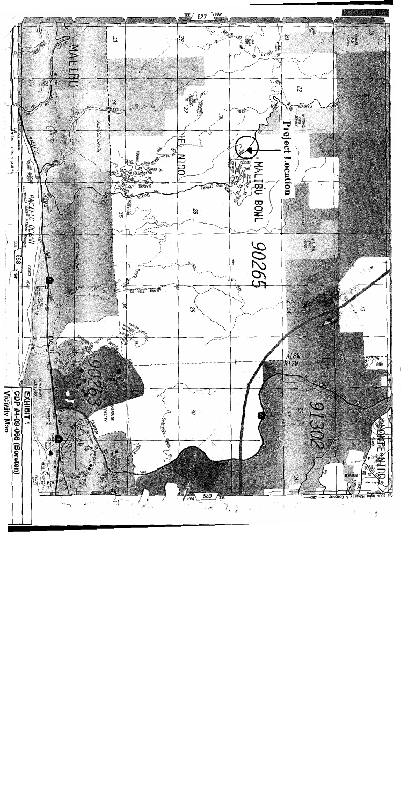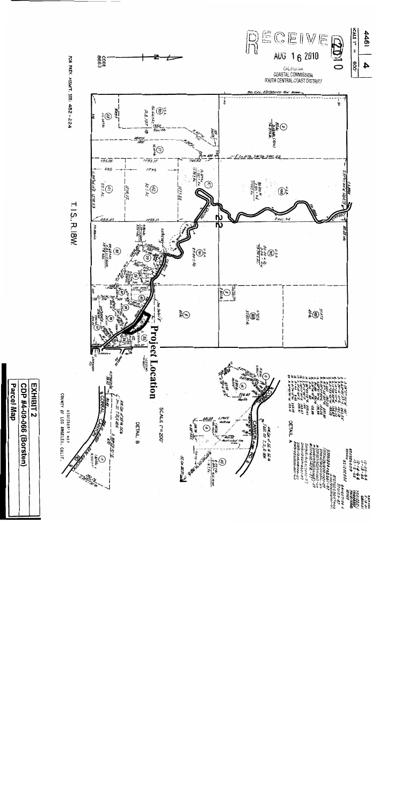

Parcel Map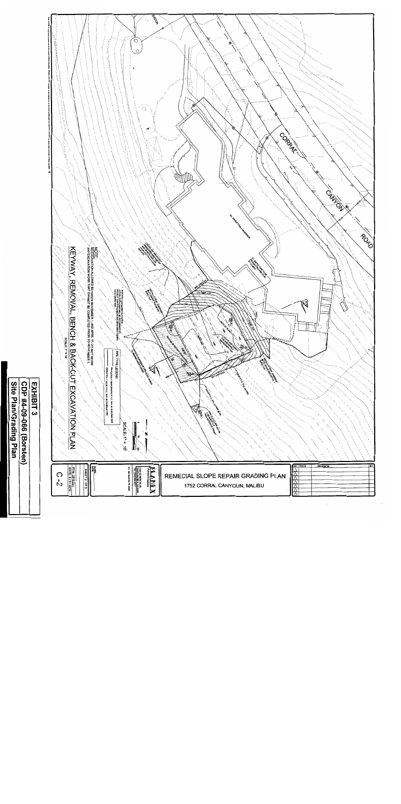

Site Plan/Grading Plan CDP #4-09-066 (Borsten)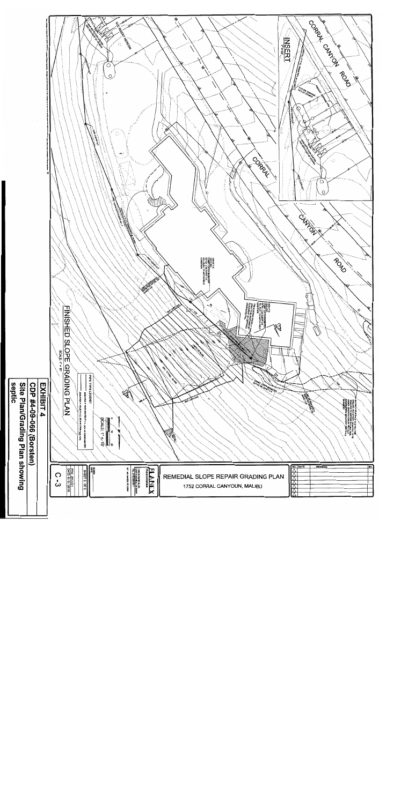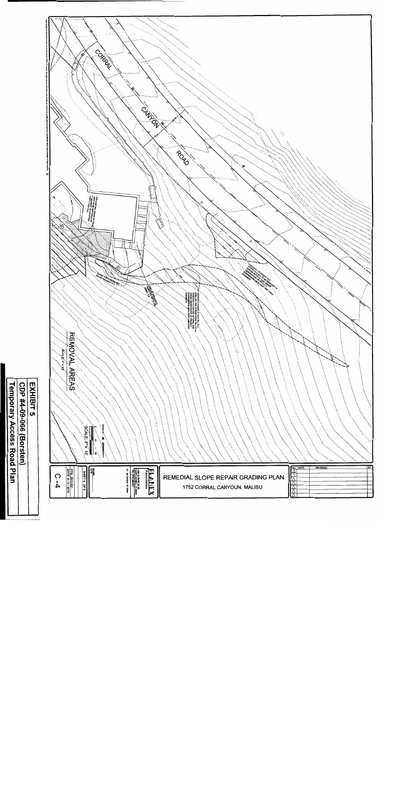

Temporary Access Road Plan